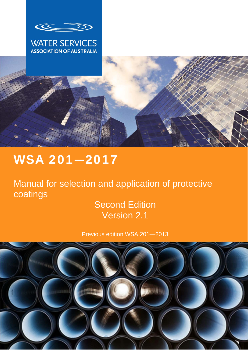

## **WATER SERVICES ASSOCIATION OF AUSTRALIA**

# WSA 201**—**2017

Manual for selection and application of protective coatings

# Second Edition Version 2.1

Previous edition WSA 201—2013

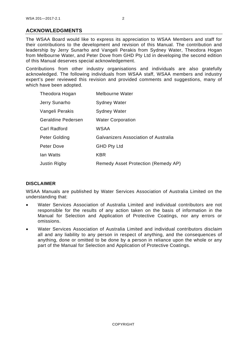#### **ACKNOWLEDGMENTS**

The WSAA Board would like to express its appreciation to WSAA Members and staff for their contributions to the development and revision of this Manual. The contribution and leadership by Jerry Sunarho and Vangeli Perakis from Sydney Water, Theodora Hogan from Melbourne Water, and Peter Dove from GHD Pty Ltd in developing the second edition of this Manual deserves special acknowledgement.

Contributions from other industry organisations and individuals are also gratefully acknowledged. The following individuals from WSAA staff, WSAA members and industry expert's peer reviewed this revision and provided comments and suggestions, many of which have been adopted.

| Theodora Hogan     | <b>Melbourne Water</b>               |
|--------------------|--------------------------------------|
| Jerry Sunarho      | <b>Sydney Water</b>                  |
| Vangeli Perakis    | <b>Sydney Water</b>                  |
| Geraldine Pedersen | <b>Water Corporation</b>             |
| Carl Radford       | WSAA                                 |
| Peter Golding      | Galvanizers Association of Australia |
| Peter Dove         | <b>GHD Pty Ltd</b>                   |
| lan Watts          | KBR                                  |
| Justin Rigby       | Remedy Asset Protection (Remedy AP)  |

#### **DISCLAIMER**

WSAA Manuals are published by Water Services Association of Australia Limited on the understanding that:

- Water Services Association of Australia Limited and individual contributors are not responsible for the results of any action taken on the basis of information in the Manual for Selection and Application of Protective Coatings, nor any errors or omissions.
- Water Services Association of Australia Limited and individual contributors disclaim all and any liability to any person in respect of anything, and the consequences of anything, done or omitted to be done by a person in reliance upon the whole or any part of the Manual for Selection and Application of Protective Coatings.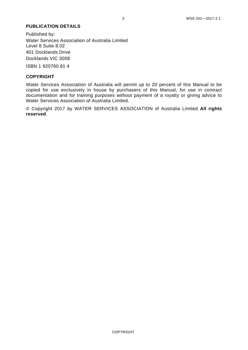#### **PUBLICATION DETAILS**

Published by: Water Services Association of Australia Limited Level 8 Suite 8.02 401 Docklands Drive Docklands VIC 3008

ISBN 1 920760 81 4

#### **COPYRIGHT**

Water Services Association of Australia will permit up to 20 percent of this Manual to be copied for use exclusively in house by purchasers of this Manual, for use in contract documentation and for training purposes without payment of a royalty or giving advice to Water Services Association of Australia Limited.

© Copyright 2017 by WATER SERVICES ASSOCIATION of Australia Limited **All rights reserved**.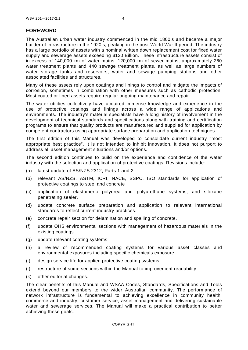#### **FOREWORD**

The Australian urban water industry commenced in the mid 1800's and became a major builder of infrastructure in the 1920's, peaking in the post-World War II period. The industry has a large portfolio of assets with a nominal written down replacement cost for fixed water supply and sewerage assets exceeding \$120 Billion. These infrastructure assets consist of in excess of 140,000 km of water mains, 120,000 km of sewer mains, approximately 260 water treatment plants and 440 sewage treatment plants, as well as large numbers of water storage tanks and reservoirs, water and sewage pumping stations and other associated facilities and structures.

Many of these assets rely upon coatings and linings to control and mitigate the impacts of corrosion, sometimes in combination with other measures such as cathodic protection. Most coated or lined assets require regular ongoing maintenance and repair.

The water utilities collectively have acquired immense knowledge and experience in the use of protective coatings and linings across a wide range of applications and environments. The industry's material specialists have a long history of involvement in the development of technical standards and specifications along with training and certification programs to ensure that quality products are manufactured and supplied for application by competent contractors using appropriate surface preparation and application techniques.

The first edition of this Manual was developed to consolidate current industry "most appropriate best practice". It is not intended to inhibit innovation. It does not purport to address all asset management situations and/or options.

The second edition continues to build on the experience and confidence of the water industry with the selection and application of protective coatings. Revisions include:

- (a) latest update of AS/NZS 2312, Parts 1 and 2
- (b) relevant AS/NZS, ASTM, ICRI, NACE, SSPC, ISO standards for application of protective coatings to steel and concrete
- (c) application of elastomeric polyurea and polyurethane systems, and siloxane penetrating sealer.
- (d) update concrete surface preparation and application to relevant international standards to reflect current industry practices.
- (e) concrete repair section for delamination and spalling of concrete.
- (f) update OHS environmental sections with management of hazardous materials in the existing coatings
- (g) update relevant coating systems
- (h) a review of recommended coating systems for various asset classes and environmental exposures including specific chemicals exposure
- (i) design service life for applied protective coating systems
- (j) restructure of some sections within the Manual to improvement readability
- (k) other editorial changes.

The clear benefits of this Manual and WSAA Codes, Standards, Specifications and Tools extend beyond our members to the wider Australian community. The performance of network infrastructure is fundamental to achieving excellence in community health, commerce and industry, customer service, asset management and delivering sustainable water and sewerage services. The Manual will make a practical contribution to better achieving these goals.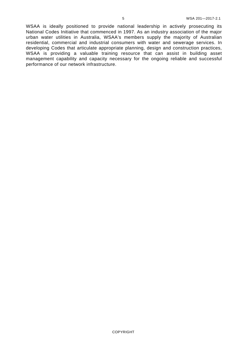WSAA is ideally positioned to provide national leadership in actively prosecuting its National Codes Initiative that commenced in 1997. As an industry association of the major urban water utilities in Australia, WSAA's members supply the majority of Australian residential, commercial and industrial consumers with water and sewerage services. In developing Codes that articulate appropriate planning, design and construction practices, WSAA is providing a valuable training resource that can assist in building asset management capability and capacity necessary for the ongoing reliable and successful performance of our network infrastructure.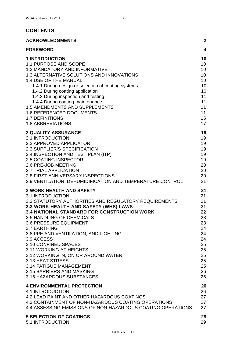### **CONTENTS**

| <b>ACKNOWLEDGMENTS</b>                                       | $\mathbf{2}$ |
|--------------------------------------------------------------|--------------|
| <b>FOREWORD</b>                                              | 4            |
| <b>1 INTRODUCTION</b>                                        | 10           |
| 1.1 PURPOSE AND SCOPE                                        | 10           |
| <b>1.2 MANDATORY AND INFORMATIVE</b>                         | 10           |
| 1.3 ALTERNATIVE SOLUTIONS AND INNOVATIONS                    | 10           |
| 1.4 USE OF THE MANUAL                                        | 10           |
| 1.4.1 During design or selection of coating systems          | 10           |
| 1.4.2 During coating application                             | 10           |
| 1.4.3 During inspection and testing                          | 11           |
| 1.4.4 During coating maintenance                             | 11           |
| <b>1.5 AMENDMENTS AND SUPPLEMENTS</b>                        | 11           |
| <b>1.6 REFERENCED DOCUMENTS</b>                              | 11           |
| <b>1.7 DEFINITIONS</b>                                       | 15           |
| <b>1.8 ABBREVIATIONS</b>                                     | 17           |
| <b>2 QUALITY ASSURANCE</b>                                   | 19           |
| <b>2.1 INTRODUCTION</b>                                      | 19           |
| 2.2 APPROVED APPLICATOR                                      | 19           |
| 2.3 SUPPLIER'S SPECIFICATION                                 | 19           |
| 2.4 INSPECTION AND TEST PLAN (ITP)                           | 19           |
| <b>2.5 COATING INSPECTOR</b>                                 | 19           |
| 2.6 PRE-JOB MEETING                                          | 20           |
| <b>2.7 TRIAL APPLICATION</b>                                 | 20           |
| <b>2.8 FIRST ANNIVERSARY INSPECTIONS</b>                     | 20           |
| 2.9 VENTILATION, DEHUMIDIFICATION AND TEMPERATURE CONTROL    | 21           |
| <b>3 WORK HEALTH AND SAFETY</b>                              | 21           |
| 3.1 INTRODUCTION                                             | 21           |
| <b>3.2 STATUTORY AUTHORITIES AND REGULATORY REQUIREMENTS</b> | 21           |
| 3.3 WORK HEALTH AND SAFETY (WHS) LAWS                        | 21           |
| <b>3.4 NATIONAL STANDARD FOR CONSTRUCTION WORK</b>           | 22           |
| 3.5 HANDLING OF CHEMICALS                                    | 23           |
| 3.6 PRESSURE EQUIPMENT                                       | 23           |
| 3.7 EARTHING                                                 | 24           |
| 3.8 PPE AND VENTILATION, AND LIGHTING                        | 24           |
| 3.9 ACCESS                                                   | 24           |
| 3.10 CONFINED SPACES                                         | 25           |
| 3.11 WORKING AT HEIGHTS                                      | 25           |
| 3.12 WORKING IN, ON OR AROUND WATER                          | 25           |
| 3.13 HEAT STRESS                                             | 25           |
| 3.14 FATIGUE MANAGEMENT                                      | 25           |
| 3.15 BARRIERS AND MASKING                                    | 26           |
| 3.16 HAZARDOUS SUBSTANCES                                    | 26           |
| <b>4 ENVIRONMENTAL PROTECTION</b>                            | 26           |
| 4.1 INTRODUCTION                                             | 26           |
| 4.2 LEAD PAINT AND OTHER HAZARDOUS COATINGS                  | 27           |
| 4.3 CONTAINMENT OF NON-HAZARDOUS COATING OPERATIONS          | 27           |
| 4.4 ASSESSING EMISSIONS OF NON-HAZARDOUS COATING OPERATIONS  | 27           |
| <b>5 SELECTION OF COATINGS</b>                               | 29           |
| <b>5.1 INTRODUCTION</b>                                      | 29           |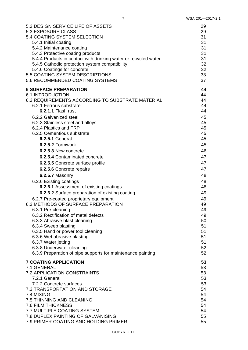| 5.2 DESIGN SERVICE LIFE OF ASSETS                               | 29 |
|-----------------------------------------------------------------|----|
| <b>5.3 EXPOSURE CLASS</b>                                       | 29 |
| 5.4 COATING SYSTEM SELECTION                                    | 31 |
| 5.4.1 Initial coating                                           | 31 |
| 5.4.2 Maintenance coating                                       | 31 |
| 5.4.3 Protective coating products                               | 31 |
| 5.4.4 Products in contact with drinking water or recycled water | 31 |
| 5.4.5 Cathodic protection system compatibility                  | 32 |
| 5.4.6 Coatings for concrete                                     | 32 |
| 5.5 COATING SYSTEM DESCRIPTIONS                                 | 33 |
| 5.6 RECOMMENDED COATING SYSTEMS                                 | 37 |
| <b>6 SURFACE PREPARATION</b>                                    | 44 |
| <b>6.1 INTRODUCTION</b>                                         | 44 |
| 6.2 REQUIREMENTS ACCORDING TO SUBSTRATE MATERIAL                | 44 |
| 6.2.1 Ferrous substrate                                         | 44 |
| 6.2.1.1 Flash rust                                              | 44 |
| 6.2.2 Galvanized steel                                          | 45 |
| 6.2.3 Stainless steel and alloys                                | 45 |
| 6.2.4 Plastics and FRP                                          | 45 |
| 6.2.5 Cementious substrate                                      | 45 |
| <b>6.2.5.1 General</b>                                          | 45 |
| 6.2.5.2 Formwork                                                | 45 |
| 6.2.5.3 New concrete                                            | 46 |
| 6.2.5.4 Contaminated concrete                                   | 47 |
| 6.2.5.5 Concrete surface profile                                | 47 |
| 6.2.5.6 Concrete repairs                                        | 47 |
| 6.2.5.7 Masonry                                                 | 48 |
| 6.2.6 Existing coatings                                         | 48 |
| 6.2.6.1 Assessment of existing coatings                         | 48 |
| 6.2.6.2 Surface preparation of existing coating                 | 49 |
| 6.2.7 Pre-coated proprietary equipment                          | 49 |
| <b>6.3 METHODS OF SURFACE PREPARATION</b>                       | 49 |
| 6.3.1 Pre-cleaning                                              | 49 |
| 6.3.2 Rectification of metal defects                            | 49 |
| 6.3.3 Abrasive blast cleaning                                   | 50 |
| 6.3.4 Sweep blasting                                            | 51 |
| 6.3.5 Hand or power tool cleaning                               | 51 |
| 6.3.6 Wet abrasive blasting                                     | 51 |
| 6.3.7 Water jetting                                             | 51 |
| 6.3.8 Underwater cleaning                                       | 52 |
| 6.3.9 Preparation of pipe supports for maintenance painting     | 52 |
| <b>7 COATING APPLICATION</b>                                    | 53 |
| 7.1 GENERAL                                                     | 53 |
| <b>7.2 APPLICATION CONSTRAINTS</b>                              | 53 |
| 7.2.1 General                                                   | 53 |
| 7.2.2 Concrete surfaces                                         | 53 |
| 7.3 TRANSPORTATION AND STORAGE                                  | 54 |
| 7.4 MIXING                                                      | 54 |
| 7.5 THINNING AND CLEANING                                       | 54 |
| <b>7.6 FILM THICKNESS</b>                                       | 54 |
| <b>7.7 MULTIPLE COATING SYSTEM</b>                              | 54 |
| 7.8 DUPLEX PAINTING OF GALVANISING                              | 55 |
| 7.9 PRIMER COATING AND HOLDING PRIMER                           | 55 |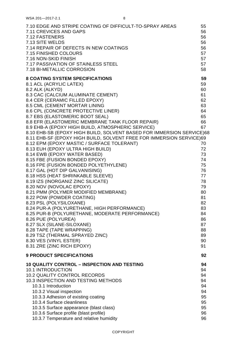| 7.10 EDGE AND STRIPE COATING OF DIFFICULT-TO-SPRAY AREAS                                                                                                                                                                                                                                                                                                                                                                                                                                                                                                                                                                                                                                                                                                                                                                                                                                                                                                                                                                                                                                                                                                                                                                                                | 55                                                                                                                                                                               |
|---------------------------------------------------------------------------------------------------------------------------------------------------------------------------------------------------------------------------------------------------------------------------------------------------------------------------------------------------------------------------------------------------------------------------------------------------------------------------------------------------------------------------------------------------------------------------------------------------------------------------------------------------------------------------------------------------------------------------------------------------------------------------------------------------------------------------------------------------------------------------------------------------------------------------------------------------------------------------------------------------------------------------------------------------------------------------------------------------------------------------------------------------------------------------------------------------------------------------------------------------------|----------------------------------------------------------------------------------------------------------------------------------------------------------------------------------|
| 7.11 CREVICES AND GAPS                                                                                                                                                                                                                                                                                                                                                                                                                                                                                                                                                                                                                                                                                                                                                                                                                                                                                                                                                                                                                                                                                                                                                                                                                                  | 56                                                                                                                                                                               |
| 7.12 FASTENERS                                                                                                                                                                                                                                                                                                                                                                                                                                                                                                                                                                                                                                                                                                                                                                                                                                                                                                                                                                                                                                                                                                                                                                                                                                          | 56                                                                                                                                                                               |
| 7.13 SITE WELDS                                                                                                                                                                                                                                                                                                                                                                                                                                                                                                                                                                                                                                                                                                                                                                                                                                                                                                                                                                                                                                                                                                                                                                                                                                         | 56                                                                                                                                                                               |
| 7.14 REPAIR OF DEFECTS IN NEW COATINGS                                                                                                                                                                                                                                                                                                                                                                                                                                                                                                                                                                                                                                                                                                                                                                                                                                                                                                                                                                                                                                                                                                                                                                                                                  | 56                                                                                                                                                                               |
| 7.15 FINISHED COLOURS                                                                                                                                                                                                                                                                                                                                                                                                                                                                                                                                                                                                                                                                                                                                                                                                                                                                                                                                                                                                                                                                                                                                                                                                                                   | 57                                                                                                                                                                               |
| 7.16 NON-SKID FINISH                                                                                                                                                                                                                                                                                                                                                                                                                                                                                                                                                                                                                                                                                                                                                                                                                                                                                                                                                                                                                                                                                                                                                                                                                                    | 57                                                                                                                                                                               |
| 7.17 PASSIVATION OF STAINLESS STEEL                                                                                                                                                                                                                                                                                                                                                                                                                                                                                                                                                                                                                                                                                                                                                                                                                                                                                                                                                                                                                                                                                                                                                                                                                     | 57                                                                                                                                                                               |
| 7.18 BI-METALLIC CORROSION                                                                                                                                                                                                                                                                                                                                                                                                                                                                                                                                                                                                                                                                                                                                                                                                                                                                                                                                                                                                                                                                                                                                                                                                                              | 58                                                                                                                                                                               |
| <b>8 COATING SYSTEM SPECIFICATIONS</b><br>8.1 ACL (ACRYLIC LATEX)<br>8.2 ALK (ALKYD)<br>8.3 CAC (CALCIUM ALUMINATE CEMENT)<br>8.4 CER (CERAMIC FILLED EPOXY)<br>8.5 CML (CEMENT MORTAR LINING<br>8.6 CPL (CONCRETE PROTECTIVE LINER)<br>8.7 EBS (ELASTOMERIC BOOT SEAL)<br>8.8 EFR (ELASTOMERIC MEMBRANE TANK FLOOR REPAIR)<br>8.9 EHB-A (EPOXY HIGH BUILD, ATMOSPHERIC SERVICE)<br>8.10 EHB-SB (EPOXY HIGH BUILD, SOLVENT BASED FOR IMMERSION SERVICE)68<br>8.11 EHB-SF (EPOXY HIGH BUILD, SOLVENT FREE FOR IMMERSION SERVICE)69<br>8.12 EPM (EPOXY MASTIC / SURFACE TOLERANT)<br>8.13 EUH (EPOXY ULTRA HIGH BUILD)<br>8.14 EWB (EPOXY WATER BASED)<br>8.15 FBE (FUSION BONDED EPOXY)<br>8.16 FPE (FUSION BONDED POLYETHYLENE)<br>8.17 GAL (HOT DIP GALVANISING)<br>8.18 HSS (HEAT SHRINKABLE SLEEVE)<br>8.19 IZS (INORGANIZ ZINC SILICATE)<br>8.20 NOV (NOVOLAC EPOXY)<br>8.21 PMM (POLYMER MODIFIED MEMBRANE)<br>8.22 POW (POWDER COATING)<br>8.23 PSL (POLYSILOXANE)<br>8.24 PUR-A (POLYURETHANE, HIGH PERFORMANCE)<br>8.25 PUR-B (POLYURETHANE, MODERATE PERFORMANCE)<br>8.26 PUE (POLYUREA)<br>8.27 SLX (SILANE-SILOXANE)<br>8.28 TAPE (TAPE WRAPPING)<br>8.29 TSZ (THERMAL SPRAYED ZINC)<br>8.30 VES (VINYL ESTER)<br>8.31 ZRE (ZINC RICH EPOXY) | 59<br>59<br>60<br>61<br>62<br>63<br>64<br>65<br>66<br>67<br>70<br>72<br>73<br>74<br>75<br>76<br>77<br>78<br>79<br>80<br>81<br>82<br>83<br>84<br>86<br>87<br>88<br>89<br>90<br>91 |
| <b>9 PRODUCT SPECIFICATIONS</b>                                                                                                                                                                                                                                                                                                                                                                                                                                                                                                                                                                                                                                                                                                                                                                                                                                                                                                                                                                                                                                                                                                                                                                                                                         | 92                                                                                                                                                                               |
| <b>10 QUALITY CONTROL - INSPECTION AND TESTING</b>                                                                                                                                                                                                                                                                                                                                                                                                                                                                                                                                                                                                                                                                                                                                                                                                                                                                                                                                                                                                                                                                                                                                                                                                      | 94                                                                                                                                                                               |
| <b>10.1 INTRODUCTION</b>                                                                                                                                                                                                                                                                                                                                                                                                                                                                                                                                                                                                                                                                                                                                                                                                                                                                                                                                                                                                                                                                                                                                                                                                                                | 94                                                                                                                                                                               |
| <b>10.2 QUALITY CONTROL RECORDS</b>                                                                                                                                                                                                                                                                                                                                                                                                                                                                                                                                                                                                                                                                                                                                                                                                                                                                                                                                                                                                                                                                                                                                                                                                                     | 94                                                                                                                                                                               |
| 10.3 INSPECTION AND TESTING METHODS                                                                                                                                                                                                                                                                                                                                                                                                                                                                                                                                                                                                                                                                                                                                                                                                                                                                                                                                                                                                                                                                                                                                                                                                                     | 94                                                                                                                                                                               |
| 10.3.1 Introduction                                                                                                                                                                                                                                                                                                                                                                                                                                                                                                                                                                                                                                                                                                                                                                                                                                                                                                                                                                                                                                                                                                                                                                                                                                     | 94                                                                                                                                                                               |
| 10.3.2 Visual inspection                                                                                                                                                                                                                                                                                                                                                                                                                                                                                                                                                                                                                                                                                                                                                                                                                                                                                                                                                                                                                                                                                                                                                                                                                                | 94                                                                                                                                                                               |
| 10.3.3 Adhesion of existing coating                                                                                                                                                                                                                                                                                                                                                                                                                                                                                                                                                                                                                                                                                                                                                                                                                                                                                                                                                                                                                                                                                                                                                                                                                     | 95                                                                                                                                                                               |
| 10.3.4 Surface cleanliness                                                                                                                                                                                                                                                                                                                                                                                                                                                                                                                                                                                                                                                                                                                                                                                                                                                                                                                                                                                                                                                                                                                                                                                                                              | 95                                                                                                                                                                               |
| 10.3.5 Surface appearance (blast class)                                                                                                                                                                                                                                                                                                                                                                                                                                                                                                                                                                                                                                                                                                                                                                                                                                                                                                                                                                                                                                                                                                                                                                                                                 | 95                                                                                                                                                                               |
| 10.3.6 Surface profile (blast profile)                                                                                                                                                                                                                                                                                                                                                                                                                                                                                                                                                                                                                                                                                                                                                                                                                                                                                                                                                                                                                                                                                                                                                                                                                  | 96                                                                                                                                                                               |
| 10.3.7 Temperature and relative humidity                                                                                                                                                                                                                                                                                                                                                                                                                                                                                                                                                                                                                                                                                                                                                                                                                                                                                                                                                                                                                                                                                                                                                                                                                | 96                                                                                                                                                                               |